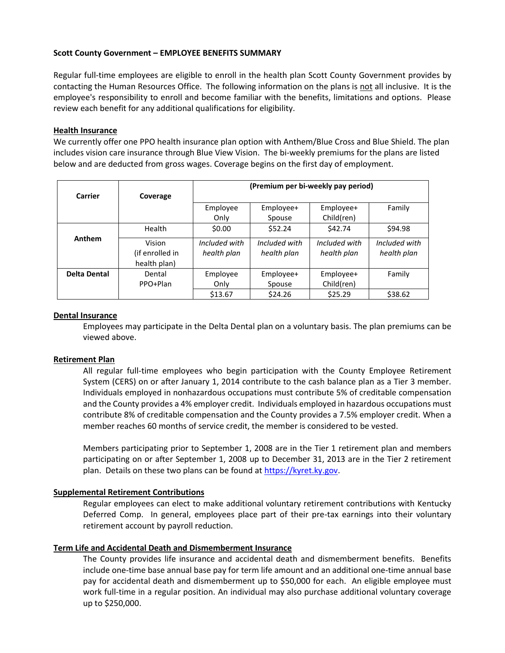# **Scott County Government – EMPLOYEE BENEFITS SUMMARY**

Regular full-time employees are eligible to enroll in the health plan Scott County Government provides by contacting the Human Resources Office. The following information on the plans is not all inclusive. It is the employee's responsibility to enroll and become familiar with the benefits, limitations and options. Please review each benefit for any additional qualifications for eligibility.

### **Health Insurance**

We currently offer one PPO health insurance plan option with Anthem/Blue Cross and Blue Shield. The plan includes vision care insurance through Blue View Vision. The bi-weekly premiums for the plans are listed below and are deducted from gross wages. Coverage begins on the first day of employment.

|                     |                                 | (Premium per bi-weekly pay period) |               |               |               |
|---------------------|---------------------------------|------------------------------------|---------------|---------------|---------------|
| Carrier             | Coverage                        |                                    |               |               |               |
|                     |                                 | Employee                           | Employee+     | Employee+     | Family        |
|                     |                                 | Only                               | Spouse        | Child(ren)    |               |
|                     | Health                          | \$0.00                             | \$52.24       | \$42.74       | \$94.98       |
| Anthem              | Vision                          | Included with                      | Included with | Included with | Included with |
|                     | (if enrolled in<br>health plan) | health plan                        | health plan   | health plan   | health plan   |
| <b>Delta Dental</b> | Dental                          | Employee                           | Employee+     | Employee+     | Family        |
|                     | PPO+Plan                        | Only                               | Spouse        | Child(ren)    |               |
|                     |                                 | \$13.67                            | \$24.26       | \$25.29       | \$38.62       |

### **Dental Insurance**

Employees may participate in the Delta Dental plan on a voluntary basis. The plan premiums can be viewed above.

### **Retirement Plan**

All regular full-time employees who begin participation with the County Employee Retirement System (CERS) on or after January 1, 2014 contribute to the cash balance plan as a Tier 3 member. Individuals employed in nonhazardous occupations must contribute 5% of creditable compensation and the County provides a 4% employer credit. Individuals employed in hazardous occupations must contribute 8% of creditable compensation and the County provides a 7.5% employer credit. When a member reaches 60 months of service credit, the member is considered to be vested.

Members participating prior to September 1, 2008 are in the Tier 1 retirement plan and members participating on or after September 1, 2008 up to December 31, 2013 are in the Tier 2 retirement plan. Details on these two plans can be found a[t https://kyret.ky.gov.](https://kyret.ky.gov/)

# **Supplemental Retirement Contributions**

Regular employees can elect to make additional voluntary retirement contributions with Kentucky Deferred Comp. In general, employees place part of their pre-tax earnings into their voluntary retirement account by payroll reduction.

### **Term Life and Accidental Death and Dismemberment Insurance**

The County provides life insurance and accidental death and dismemberment benefits. Benefits include one-time base annual base pay for term life amount and an additional one-time annual base pay for accidental death and dismemberment up to \$50,000 for each. An eligible employee must work full-time in a regular position. An individual may also purchase additional voluntary coverage up to \$250,000.